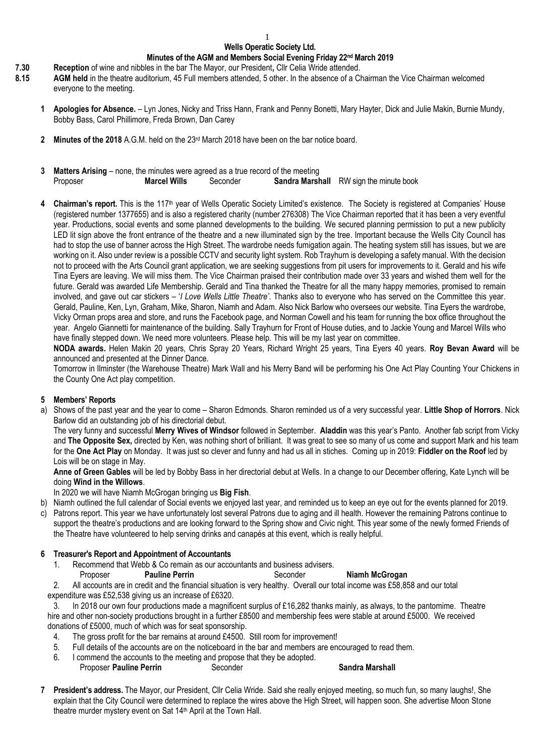# **Wells Operatic Society Ltd.**

#### **Minutes of the AGM and Members Social Evening Friday 22 nd March 2019**

- **7.30 Reception** of wine and nibbles in the bar The Mayor, our President**,** Cllr Celia Wride attended.
- **8.15 AGM held** in the theatre auditorium, 45 Full members attended, 5 other. In the absence of a Chairman the Vice Chairman welcomed everyone to the meeting.
	- **1 Apologies for Absence.**  Lyn Jones, Nicky and Triss Hann, Frank and Penny Bonetti, Mary Hayter, Dick and Julie Makin, Burnie Mundy, Bobby Bass, Carol Phillimore, Freda Brown, Dan Carey
	- **2 Minutes of the 2018** A.G.M. held on the 23 rd March 2018 have been on the bar notice board.
	- **3 Matters Arising** none, the minutes were agreed as a true record of the meeting Proposer **Marcel Wills** Seconder **Sandra Marshall** RW sign the minute book
	- **4 Chairman's report.** This is the 117th year of Wells Operatic Society Limited's existence. The Society is registered at Companies' House (registered number 1377655) and is also a registered charity (number 276308) The Vice Chairman reported that it has been a very eventful year. Productions, social events and some planned developments to the building. We secured planning permission to put a new publicity LED lit sign above the front entrance of the theatre and a new illuminated sign by the tree. Important because the Wells City Council has had to stop the use of banner across the High Street. The wardrobe needs fumigation again. The heating system still has issues, but we are working on it. Also under review is a possible CCTV and security light system. Rob Trayhurn is developing a safety manual. With the decision not to proceed with the Arts Council grant application, we are seeking suggestions from pit users for improvements to it. Gerald and his wife Tina Eyers are leaving. We will miss them. The Vice Chairman praised their contribution made over 33 years and wished them well for the future. Gerald was awarded Life Membership. Gerald and Tina thanked the Theatre for all the many happy memories, promised to remain involved, and gave out car stickers – '*I Love Wells Little Theatre'*. Thanks also to everyone who has served on the Committee this year. Gerald, Pauline, Ken, Lyn, Graham, Mike, Sharon, Niamh and Adam. Also Nick Barlow who oversees our website. Tina Eyers the wardrobe, Vicky Orman props area and store, and runs the Facebook page, and Norman Cowell and his team for running the box office throughout the year. Angelo Giannetti for maintenance of the building. Sally Trayhurn for Front of House duties, and to Jackie Young and Marcel Wills who have finally stepped down. We need more volunteers. Please help. This will be my last year on committee.

**NODA awards.** Helen Makin 20 years, Chris Spray 20 Years, Richard Wright 25 years, Tina Eyers 40 years. **Roy Bevan Award** will be announced and presented at the Dinner Dance.

Tomorrow in Ilminster (the Warehouse Theatre) Mark Wall and his Merry Band will be performing his One Act Play Counting Your Chickens in the County One Act play competition.

## **5 Members' Reports**

a) Shows of the past year and the year to come – Sharon Edmonds. Sharon reminded us of a very successful year. **Little Shop of Horrors**. Nick Barlow did an outstanding job of his directorial debut.

The very funny and successful **Merry Wives of Windsor** followed in September. **Aladdin** was this year's Panto. Another fab script from Vicky and **The Opposite Sex,** directed by Ken, was nothing short of brilliant. It was great to see so many of us come and support Mark and his team for the **One Act Play** on Monday. It was just so clever and funny and had us all in stiches. Coming up in 2019: **Fiddler on the Roof** led by Lois will be on stage in May.

**Anne of Green Gables** will be led by Bobby Bass in her directorial debut at Wells. In a change to our December offering, Kate Lynch will be doing **Wind in the Willows**.

In 2020 we will have Niamh McGrogan bringing us **Big Fish**.

- b) Niamh outlined the full calendar of Social events we enjoyed last year, and reminded us to keep an eye out for the events planned for 2019.
- c) Patrons report. This year we have unfortunately lost several Patrons due to aging and ill health. However the remaining Patrons continue to support the theatre's productions and are looking forward to the Spring show and Civic night. This year some of the newly formed Friends of the Theatre have volunteered to help serving drinks and canapés at this event, which is really helpful.

#### **6 Treasurer's Report and Appointment of Accountants**

1. Recommend that Webb & Co remain as our accountants and business advisers.

## Proposer **Pauline Perrin** Seconder **Niamh McGrogan**

- 2. All accounts are in credit and the financial situation is very healthy. Overall our total income was £58,858 and our total
- expenditure was £52,538 giving us an increase of £6320.

3. In 2018 our own four productions made a magnificent surplus of £16,282 thanks mainly, as always, to the pantomime. Theatre hire and other non-society productions brought in a further £8500 and membership fees were stable at around £5000. We received donations of £5000, much of which was for seat sponsorship.

- 4. The gross profit for the bar remains at around £4500. Still room for improvement!
- 5. Full details of the accounts are on the noticeboard in the bar and members are encouraged to read them.
- 6. I commend the accounts to the meeting and propose that they be adopted.
	- Proposer **Pauline Perrin** Seconder **Sandra Marshall**
- **7 President's address.** The Mayor, our President, Cllr Celia Wride. Said she really enjoyed meeting, so much fun, so many laughs!, She explain that the City Council were determined to replace the wires above the High Street, will happen soon. She advertise Moon Stone theatre murder mystery event on Sat 14th April at the Town Hall.